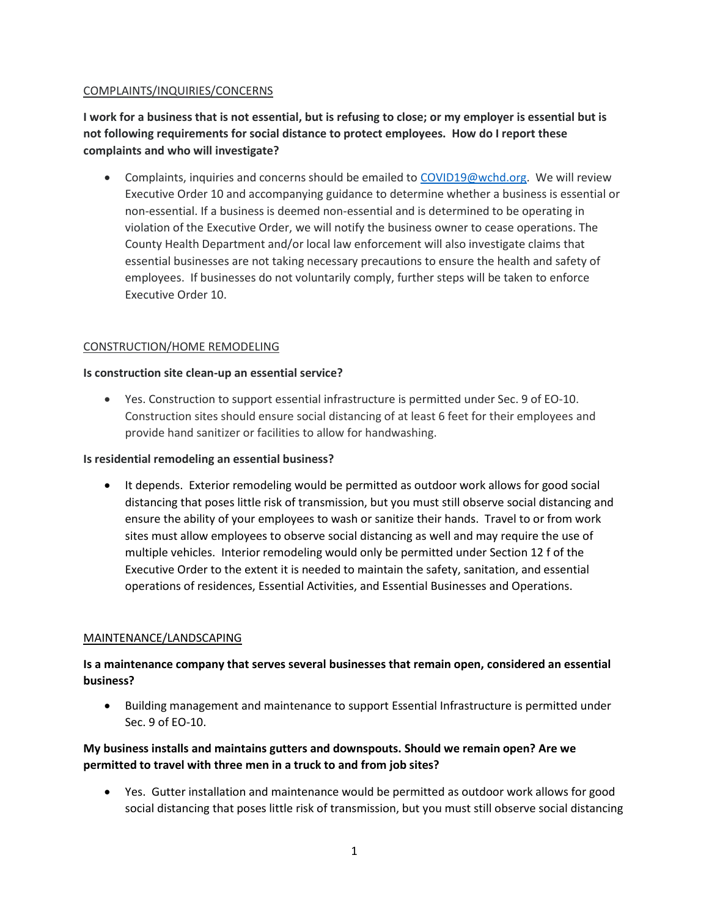## COMPLAINTS/INQUIRIES/CONCERNS

**I work for a business that is not essential, but is refusing to close; or my employer is essential but is not following requirements for social distance to protect employees. How do I report these complaints and who will investigate?**

• Complaints, inquiries and concerns should be emailed to [COVID19@wchd.org.](mailto:COVID19@wchd.org) We will review Executive Order 10 and accompanying guidance to determine whether a business is essential or non-essential. If a business is deemed non-essential and is determined to be operating in violation of the Executive Order, we will notify the business owner to cease operations. The County Health Department and/or local law enforcement will also investigate claims that essential businesses are not taking necessary precautions to ensure the health and safety of employees. If businesses do not voluntarily comply, further steps will be taken to enforce Executive Order 10.

# CONSTRUCTION/HOME REMODELING

## **Is construction site clean-up an essential service?**

 Yes. Construction to support essential infrastructure is permitted under Sec. 9 of EO-10. Construction sites should ensure social distancing of at least 6 feet for their employees and provide hand sanitizer or facilities to allow for handwashing.

## **Is residential remodeling an essential business?**

• It depends. Exterior remodeling would be permitted as outdoor work allows for good social distancing that poses little risk of transmission, but you must still observe social distancing and ensure the ability of your employees to wash or sanitize their hands. Travel to or from work sites must allow employees to observe social distancing as well and may require the use of multiple vehicles. Interior remodeling would only be permitted under Section 12 f of the Executive Order to the extent it is needed to maintain the safety, sanitation, and essential operations of residences, Essential Activities, and Essential Businesses and Operations.

## MAINTENANCE/LANDSCAPING

# **Is a maintenance company that serves several businesses that remain open, considered an essential business?**

 Building management and maintenance to support Essential Infrastructure is permitted under Sec. 9 of EO-10.

# **My business installs and maintains gutters and downspouts. Should we remain open? Are we permitted to travel with three men in a truck to and from job sites?**

 Yes. Gutter installation and maintenance would be permitted as outdoor work allows for good social distancing that poses little risk of transmission, but you must still observe social distancing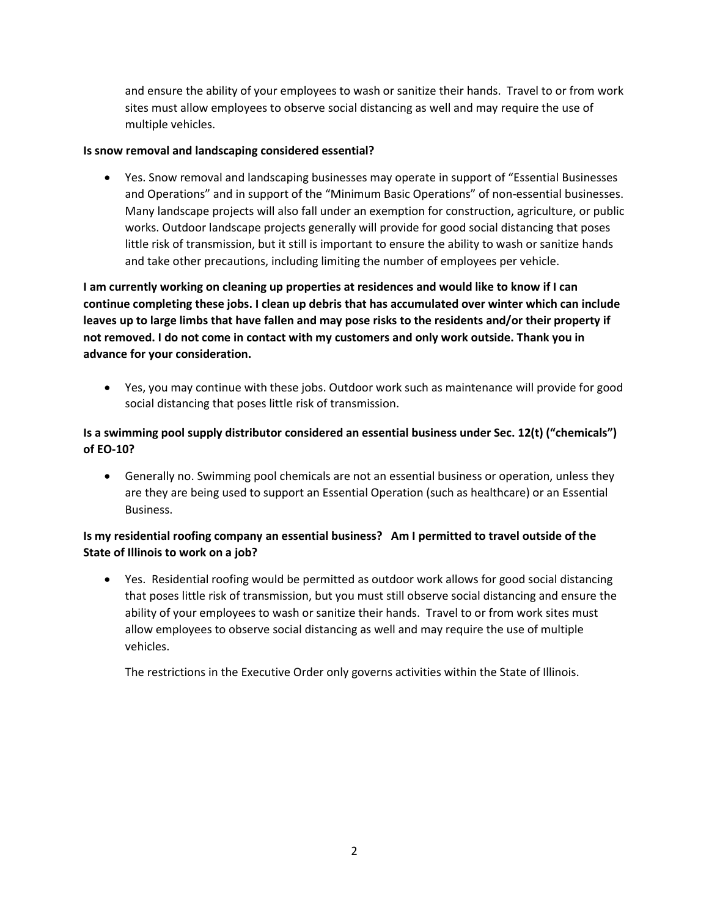and ensure the ability of your employees to wash or sanitize their hands. Travel to or from work sites must allow employees to observe social distancing as well and may require the use of multiple vehicles.

## **Is snow removal and landscaping considered essential?**

 Yes. Snow removal and landscaping businesses may operate in support of "Essential Businesses and Operations" and in support of the "Minimum Basic Operations" of non-essential businesses. Many landscape projects will also fall under an exemption for construction, agriculture, or public works. Outdoor landscape projects generally will provide for good social distancing that poses little risk of transmission, but it still is important to ensure the ability to wash or sanitize hands and take other precautions, including limiting the number of employees per vehicle.

**I am currently working on cleaning up properties at residences and would like to know if I can continue completing these jobs. I clean up debris that has accumulated over winter which can include leaves up to large limbs that have fallen and may pose risks to the residents and/or their property if not removed. I do not come in contact with my customers and only work outside. Thank you in advance for your consideration.**

 Yes, you may continue with these jobs. Outdoor work such as maintenance will provide for good social distancing that poses little risk of transmission.

# **Is a swimming pool supply distributor considered an essential business under Sec. 12(t) ("chemicals") of EO-10?**

 Generally no. Swimming pool chemicals are not an essential business or operation, unless they are they are being used to support an Essential Operation (such as healthcare) or an Essential Business.

# **Is my residential roofing company an essential business? Am I permitted to travel outside of the State of Illinois to work on a job?**

 Yes. Residential roofing would be permitted as outdoor work allows for good social distancing that poses little risk of transmission, but you must still observe social distancing and ensure the ability of your employees to wash or sanitize their hands. Travel to or from work sites must allow employees to observe social distancing as well and may require the use of multiple vehicles.

The restrictions in the Executive Order only governs activities within the State of Illinois.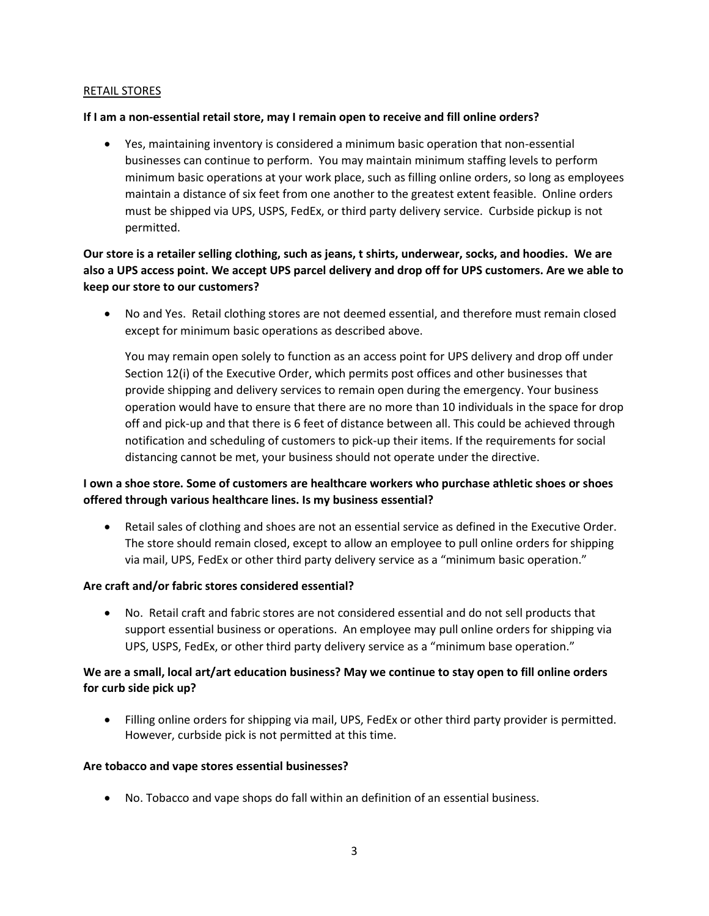### RETAIL STORES

#### **If I am a non-essential retail store, may I remain open to receive and fill online orders?**

 Yes, maintaining inventory is considered a minimum basic operation that non-essential businesses can continue to perform. You may maintain minimum staffing levels to perform minimum basic operations at your work place, such as filling online orders, so long as employees maintain a distance of six feet from one another to the greatest extent feasible. Online orders must be shipped via UPS, USPS, FedEx, or third party delivery service. Curbside pickup is not permitted.

**Our store is a retailer selling clothing, such as jeans, t shirts, underwear, socks, and hoodies. We are also a UPS access point. We accept UPS parcel delivery and drop off for UPS customers. Are we able to keep our store to our customers?**

 No and Yes. Retail clothing stores are not deemed essential, and therefore must remain closed except for minimum basic operations as described above.

You may remain open solely to function as an access point for UPS delivery and drop off under Section 12(i) of the Executive Order, which permits post offices and other businesses that provide shipping and delivery services to remain open during the emergency. Your business operation would have to ensure that there are no more than 10 individuals in the space for drop off and pick-up and that there is 6 feet of distance between all. This could be achieved through notification and scheduling of customers to pick-up their items. If the requirements for social distancing cannot be met, your business should not operate under the directive.

# **I own a shoe store. Some of customers are healthcare workers who purchase athletic shoes or shoes offered through various healthcare lines. Is my business essential?**

 Retail sales of clothing and shoes are not an essential service as defined in the Executive Order. The store should remain closed, except to allow an employee to pull online orders for shipping via mail, UPS, FedEx or other third party delivery service as a "minimum basic operation."

## **Are craft and/or fabric stores considered essential?**

 No. Retail craft and fabric stores are not considered essential and do not sell products that support essential business or operations. An employee may pull online orders for shipping via UPS, USPS, FedEx, or other third party delivery service as a "minimum base operation."

# **We are a small, local art/art education business? May we continue to stay open to fill online orders for curb side pick up?**

 Filling online orders for shipping via mail, UPS, FedEx or other third party provider is permitted. However, curbside pick is not permitted at this time.

#### **Are tobacco and vape stores essential businesses?**

No. Tobacco and vape shops do fall within an definition of an essential business.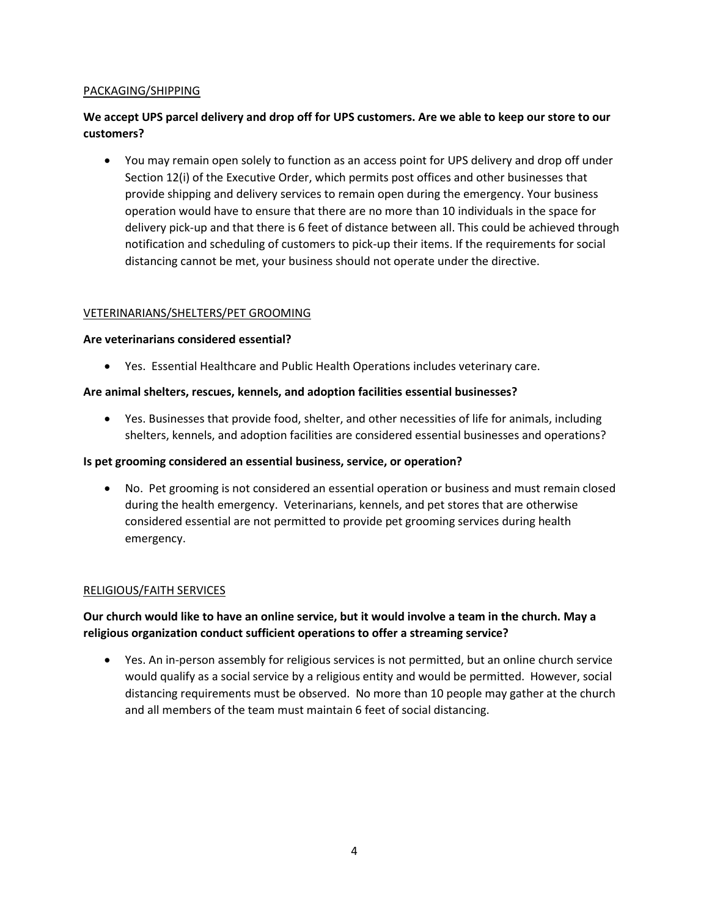## PACKAGING/SHIPPING

# **We accept UPS parcel delivery and drop off for UPS customers. Are we able to keep our store to our customers?**

 You may remain open solely to function as an access point for UPS delivery and drop off under Section 12(i) of the Executive Order, which permits post offices and other businesses that provide shipping and delivery services to remain open during the emergency. Your business operation would have to ensure that there are no more than 10 individuals in the space for delivery pick-up and that there is 6 feet of distance between all. This could be achieved through notification and scheduling of customers to pick-up their items. If the requirements for social distancing cannot be met, your business should not operate under the directive.

#### VETERINARIANS/SHELTERS/PET GROOMING

#### **Are veterinarians considered essential?**

Yes. Essential Healthcare and Public Health Operations includes veterinary care.

## **Are animal shelters, rescues, kennels, and adoption facilities essential businesses?**

 Yes. Businesses that provide food, shelter, and other necessities of life for animals, including shelters, kennels, and adoption facilities are considered essential businesses and operations?

### **Is pet grooming considered an essential business, service, or operation?**

 No. Pet grooming is not considered an essential operation or business and must remain closed during the health emergency. Veterinarians, kennels, and pet stores that are otherwise considered essential are not permitted to provide pet grooming services during health emergency.

## RELIGIOUS/FAITH SERVICES

# **Our church would like to have an online service, but it would involve a team in the church. May a religious organization conduct sufficient operations to offer a streaming service?**

 Yes. An in-person assembly for religious services is not permitted, but an online church service would qualify as a social service by a religious entity and would be permitted. However, social distancing requirements must be observed. No more than 10 people may gather at the church and all members of the team must maintain 6 feet of social distancing.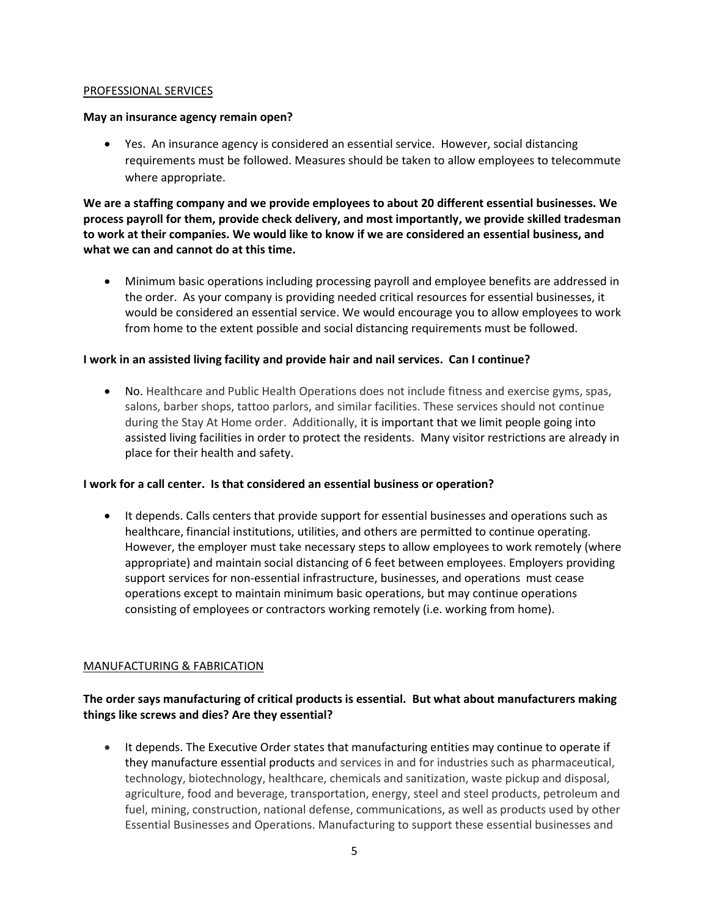#### PROFESSIONAL SERVICES

#### **May an insurance agency remain open?**

 Yes. An insurance agency is considered an essential service. However, social distancing requirements must be followed. Measures should be taken to allow employees to telecommute where appropriate.

**We are a staffing company and we provide employees to about 20 different essential businesses. We process payroll for them, provide check delivery, and most importantly, we provide skilled tradesman to work at their companies. We would like to know if we are considered an essential business, and what we can and cannot do at this time.**

 Minimum basic operations including processing payroll and employee benefits are addressed in the order. As your company is providing needed critical resources for essential businesses, it would be considered an essential service. We would encourage you to allow employees to work from home to the extent possible and social distancing requirements must be followed.

## **I work in an assisted living facility and provide hair and nail services. Can I continue?**

 No. Healthcare and Public Health Operations does not include fitness and exercise gyms, spas, salons, barber shops, tattoo parlors, and similar facilities. These services should not continue during the Stay At Home order. Additionally, it is important that we limit people going into assisted living facilities in order to protect the residents. Many visitor restrictions are already in place for their health and safety.

## **I work for a call center. Is that considered an essential business or operation?**

• It depends. Calls centers that provide support for essential businesses and operations such as healthcare, financial institutions, utilities, and others are permitted to continue operating. However, the employer must take necessary steps to allow employees to work remotely (where appropriate) and maintain social distancing of 6 feet between employees. Employers providing support services for non-essential infrastructure, businesses, and operations must cease operations except to maintain minimum basic operations, but may continue operations consisting of employees or contractors working remotely (i.e. working from home).

#### MANUFACTURING & FABRICATION

# **The order says manufacturing of critical products is essential. But what about manufacturers making things like screws and dies? Are they essential?**

• It depends. The Executive Order states that manufacturing entities may continue to operate if they manufacture essential products and services in and for industries such as pharmaceutical, technology, biotechnology, healthcare, chemicals and sanitization, waste pickup and disposal, agriculture, food and beverage, transportation, energy, steel and steel products, petroleum and fuel, mining, construction, national defense, communications, as well as products used by other Essential Businesses and Operations. Manufacturing to support these essential businesses and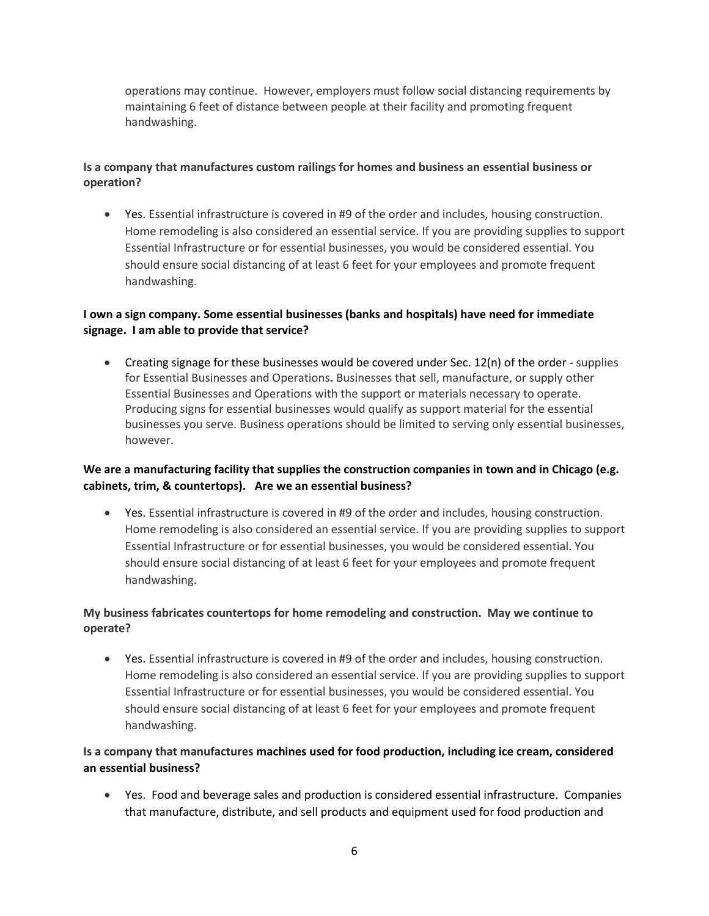operations may continue. However, employers must follow social distancing requirements by maintaining 6 feet of distance between people at their facility and promoting frequent handwashing.

# **Is a company that manufactures custom railings for homes and business an essential business or operation?**

 Yes. Essential infrastructure is covered in #9 of the order and includes, housing construction. Home remodeling is also considered an essential service. If you are providing supplies to support Essential Infrastructure or for essential businesses, you would be considered essential. You should ensure social distancing of at least 6 feet for your employees and promote frequent handwashing.

# **I own a sign company. Some essential businesses (banks and hospitals) have need for immediate signage. I am able to provide that service?**

• Creating signage for these businesses would be covered under Sec.  $12(n)$  of the order - supplies for Essential Businesses and Operations**.** Businesses that sell, manufacture, or supply other Essential Businesses and Operations with the support or materials necessary to operate. Producing signs for essential businesses would qualify as support material for the essential businesses you serve. Business operations should be limited to serving only essential businesses, however.

# **We are a manufacturing facility that supplies the construction companies in town and in Chicago (e.g. cabinets, trim, & countertops). Are we an essential business?**

 Yes. Essential infrastructure is covered in #9 of the order and includes, housing construction. Home remodeling is also considered an essential service. If you are providing supplies to support Essential Infrastructure or for essential businesses, you would be considered essential. You should ensure social distancing of at least 6 feet for your employees and promote frequent handwashing.

# **My business fabricates countertops for home remodeling and construction. May we continue to operate?**

 Yes. Essential infrastructure is covered in #9 of the order and includes, housing construction. Home remodeling is also considered an essential service. If you are providing supplies to support Essential Infrastructure or for essential businesses, you would be considered essential. You should ensure social distancing of at least 6 feet for your employees and promote frequent handwashing.

# **Is a company that manufactures machines used for food production, including ice cream, considered an essential business?**

 Yes. Food and beverage sales and production is considered essential infrastructure. Companies that manufacture, distribute, and sell products and equipment used for food production and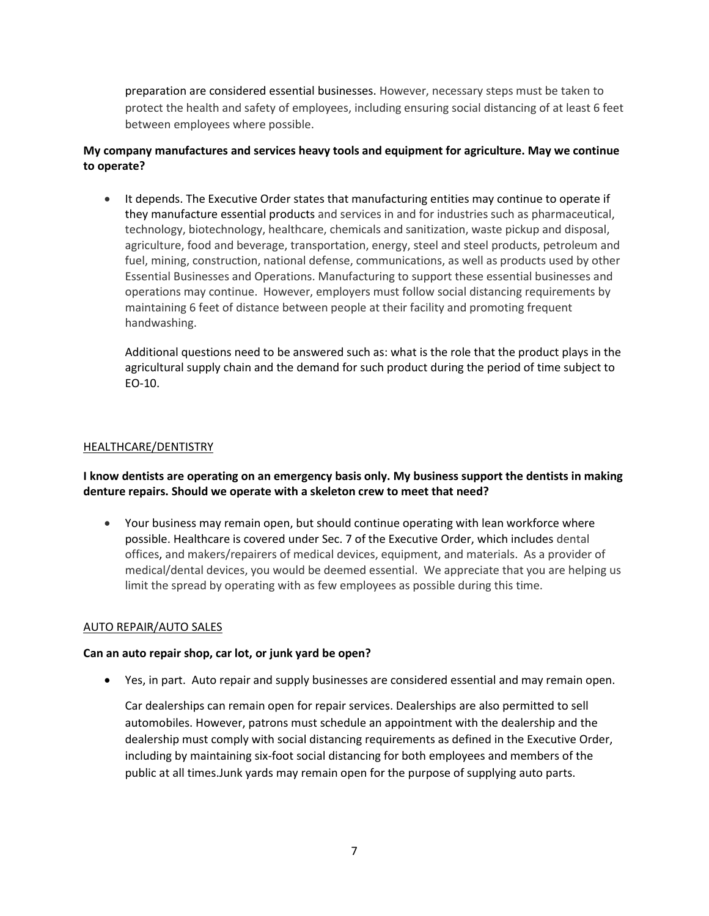preparation are considered essential businesses. However, necessary steps must be taken to protect the health and safety of employees, including ensuring social distancing of at least 6 feet between employees where possible.

# **My company manufactures and services heavy tools and equipment for agriculture. May we continue to operate?**

• It depends. The Executive Order states that manufacturing entities may continue to operate if they manufacture essential products and services in and for industries such as pharmaceutical, technology, biotechnology, healthcare, chemicals and sanitization, waste pickup and disposal, agriculture, food and beverage, transportation, energy, steel and steel products, petroleum and fuel, mining, construction, national defense, communications, as well as products used by other Essential Businesses and Operations. Manufacturing to support these essential businesses and operations may continue. However, employers must follow social distancing requirements by maintaining 6 feet of distance between people at their facility and promoting frequent handwashing.

Additional questions need to be answered such as: what is the role that the product plays in the agricultural supply chain and the demand for such product during the period of time subject to EO-10.

## HEALTHCARE/DENTISTRY

**I know dentists are operating on an emergency basis only. My business support the dentists in making denture repairs. Should we operate with a skeleton crew to meet that need?** 

 Your business may remain open, but should continue operating with lean workforce where possible. Healthcare is covered under Sec. 7 of the Executive Order, which includes dental offices, and makers/repairers of medical devices, equipment, and materials. As a provider of medical/dental devices, you would be deemed essential. We appreciate that you are helping us limit the spread by operating with as few employees as possible during this time.

#### AUTO REPAIR/AUTO SALES

## **Can an auto repair shop, car lot, or junk yard be open?**

Yes, in part. Auto repair and supply businesses are considered essential and may remain open.

Car dealerships can remain open for repair services. Dealerships are also permitted to sell automobiles. However, patrons must schedule an appointment with the dealership and the dealership must comply with social distancing requirements as defined in the Executive Order, including by maintaining six-foot social distancing for both employees and members of the public at all times.Junk yards may remain open for the purpose of supplying auto parts.